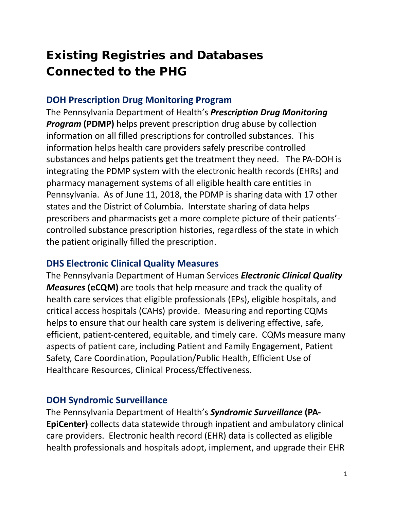# Existing Registries and Databases Connected to the PHG

## **DOH Prescription Drug Monitoring Program**

The Pennsylvania Department of Health's *Prescription Drug Monitoring Program (PDMP)* helps prevent prescription drug abuse by collection information on all filled prescriptions for controlled substances. This information helps health care providers safely prescribe controlled substances and helps patients get the treatment they need. The PA-DOH is integrating the PDMP system with the electronic health records (EHRs) and pharmacy management systems of all eligible health care entities in Pennsylvania. As of June 11, 2018, the PDMP is sharing data with 17 other states and the District of Columbia. Interstate sharing of data helps prescribers and pharmacists get a more complete picture of their patients' controlled substance prescription histories, regardless of the state in which the patient originally filled the prescription.

#### **DHS Electronic Clinical Quality Measures**

The Pennsylvania Department of Human Services *Electronic Clinical Quality Measures* (eCQM) are tools that help measure and track the quality of health care services that eligible professionals (EPs), eligible hospitals, and critical access hospitals (CAHs) provide. Measuring and reporting CQMs helps to ensure that our health care system is delivering effective, safe, efficient, patient-centered, equitable, and timely care. CQMs measure many aspects of patient care, including Patient and Family Engagement, Patient Safety, Care Coordination, Population/Public Health, Efficient Use of Healthcare Resources, Clinical Process/Effectiveness.

#### **DOH Syndromic Surveillance**

The Pennsylvania Department of Health's *Syndromic Surveillance* **(PA-EpiCenter)** collects data statewide through inpatient and ambulatory clinical care providers. Electronic health record (EHR) data is collected as eligible health professionals and hospitals adopt, implement, and upgrade their EHR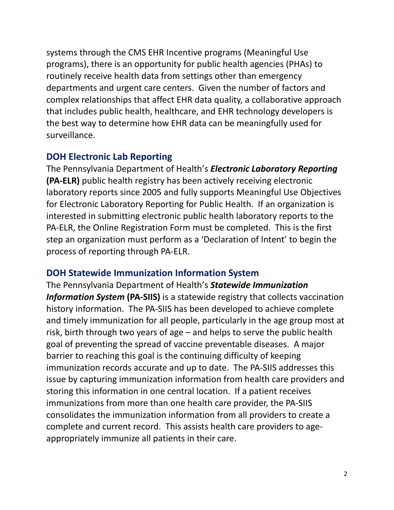systems through the CMS EHR Incentive programs (Meaningful Use programs), there is an opportunity for public health agencies (PHAs) to routinely receive health data from settings other than emergency departments and urgent care centers. Given the number of factors and complex relationships that affect EHR data quality, a collaborative approach that includes public health, healthcare, and EHR technology developers is the best way to determine how EHR data can be meaningfully used for surveillance.

## **DOH Electronic Lab Reporting**

The Pennsylvania Department of Health's *Electronic Laboratory Reporting*  **(PA-ELR)** public health registry has been actively receiving electronic laboratory reports since 2005 and fully supports Meaningful Use Objectives for Electronic Laboratory Reporting for Public Health. If an organization is interested in submitting electronic public health laboratory reports to the PA-ELR, the Online Registration Form must be completed. This is the first step an organization must perform as a 'Declaration of Intent' to begin the process of reporting through PA-ELR.

## **DOH Statewide Immunization Information System**

The Pennsylvania Department of Health's *Statewide Immunization*  **Information System (PA-SIIS)** is a statewide registry that collects vaccination history information. The PA-SIIS has been developed to achieve complete and timely immunization for all people, particularly in the age group most at risk, birth through two years of age – and helps to serve the public health goal of preventing the spread of vaccine preventable diseases. A major barrier to reaching this goal is the continuing difficulty of keeping immunization records accurate and up to date. The PA-SIIS addresses this issue by capturing immunization information from health care providers and storing this information in one central location. If a patient receives immunizations from more than one health care provider, the PA-SIIS consolidates the immunization information from all providers to create a complete and current record. This assists health care providers to ageappropriately immunize all patients in their care.